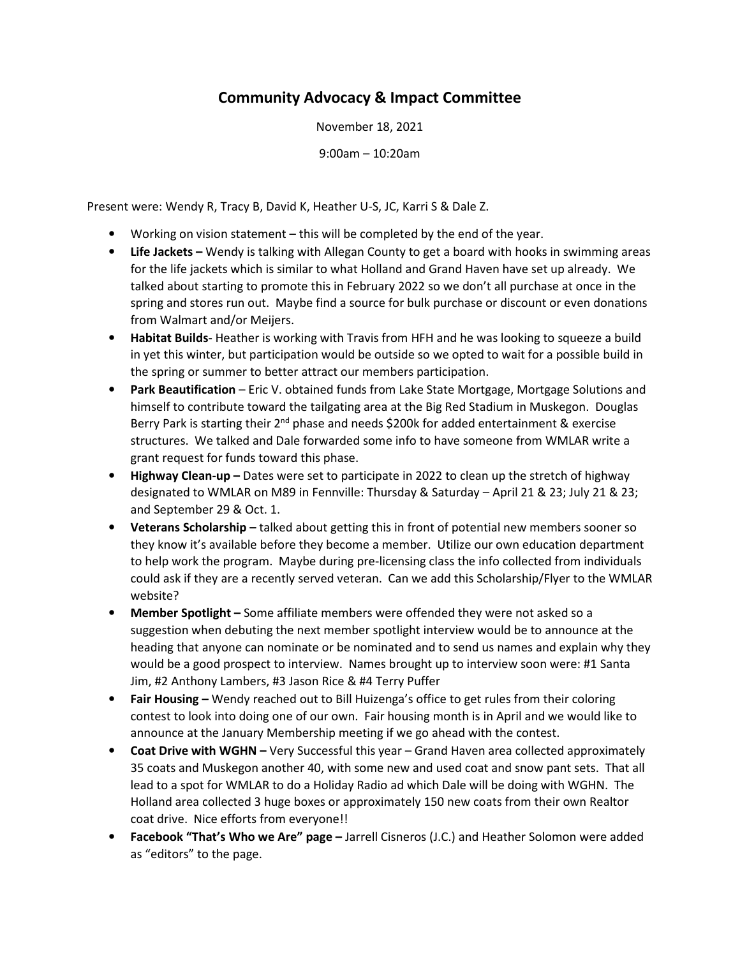## Community Advocacy & Impact Committee

November 18, 2021

9:00am – 10:20am

Present were: Wendy R, Tracy B, David K, Heather U-S, JC, Karri S & Dale Z.

- Working on vision statement this will be completed by the end of the year.
- Life Jackets Wendy is talking with Allegan County to get a board with hooks in swimming areas for the life jackets which is similar to what Holland and Grand Haven have set up already. We talked about starting to promote this in February 2022 so we don't all purchase at once in the spring and stores run out. Maybe find a source for bulk purchase or discount or even donations from Walmart and/or Meijers.
- Habitat Builds-Heather is working with Travis from HFH and he was looking to squeeze a build in yet this winter, but participation would be outside so we opted to wait for a possible build in the spring or summer to better attract our members participation.
- Park Beautification Eric V. obtained funds from Lake State Mortgage, Mortgage Solutions and himself to contribute toward the tailgating area at the Big Red Stadium in Muskegon. Douglas Berry Park is starting their 2<sup>nd</sup> phase and needs \$200k for added entertainment & exercise structures. We talked and Dale forwarded some info to have someone from WMLAR write a grant request for funds toward this phase.
- Highway Clean-up Dates were set to participate in 2022 to clean up the stretch of highway designated to WMLAR on M89 in Fennville: Thursday & Saturday – April 21 & 23; July 21 & 23; and September 29 & Oct. 1.
- Veterans Scholarship talked about getting this in front of potential new members sooner so they know it's available before they become a member. Utilize our own education department to help work the program. Maybe during pre-licensing class the info collected from individuals could ask if they are a recently served veteran. Can we add this Scholarship/Flyer to the WMLAR website?
- Member Spotlight Some affiliate members were offended they were not asked so a suggestion when debuting the next member spotlight interview would be to announce at the heading that anyone can nominate or be nominated and to send us names and explain why they would be a good prospect to interview. Names brought up to interview soon were: #1 Santa Jim, #2 Anthony Lambers, #3 Jason Rice & #4 Terry Puffer
- Fair Housing Wendy reached out to Bill Huizenga's office to get rules from their coloring contest to look into doing one of our own. Fair housing month is in April and we would like to announce at the January Membership meeting if we go ahead with the contest.
- Coat Drive with WGHN Very Successful this year Grand Haven area collected approximately 35 coats and Muskegon another 40, with some new and used coat and snow pant sets. That all lead to a spot for WMLAR to do a Holiday Radio ad which Dale will be doing with WGHN. The Holland area collected 3 huge boxes or approximately 150 new coats from their own Realtor coat drive. Nice efforts from everyone!!
- Facebook "That's Who we Are" page Jarrell Cisneros (J.C.) and Heather Solomon were added as "editors" to the page.